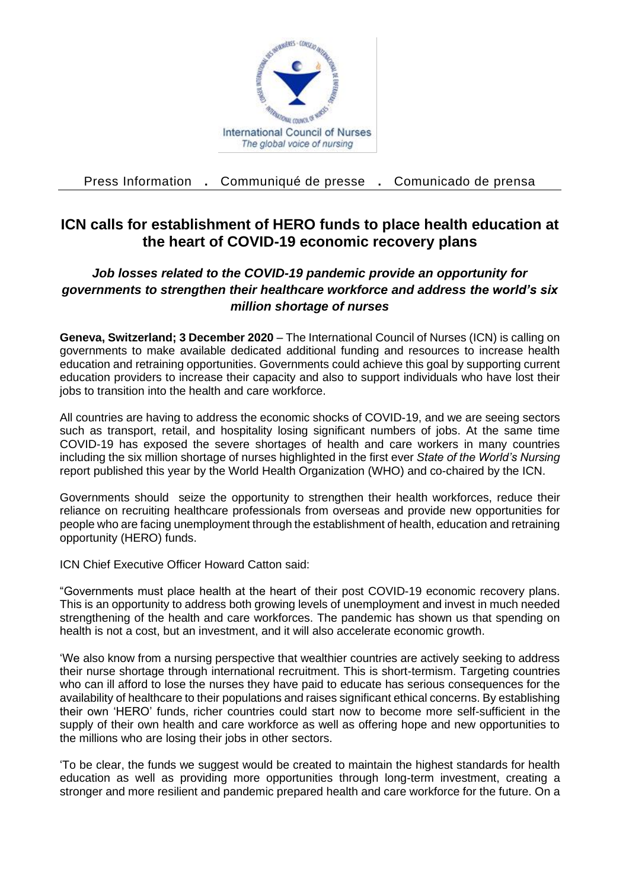

Press Information **.** Communiqué de presse **.** Comunicado de prensa

## **ICN calls for establishment of HERO funds to place health education at the heart of COVID-19 economic recovery plans**

## *Job losses related to the COVID-19 pandemic provide an opportunity for governments to strengthen their healthcare workforce and address the world's six million shortage of nurses*

**Geneva, Switzerland; 3 December 2020** – The International Council of Nurses (ICN) is calling on governments to make available dedicated additional funding and resources to increase health education and retraining opportunities. Governments could achieve this goal by supporting current education providers to increase their capacity and also to support individuals who have lost their jobs to transition into the health and care workforce.

All countries are having to address the economic shocks of COVID-19, and we are seeing sectors such as transport, retail, and hospitality losing significant numbers of jobs. At the same time COVID-19 has exposed the severe shortages of health and care workers in many countries including the six million shortage of nurses highlighted in the first ever *State of the World's Nursing* report published this year by the World Health Organization (WHO) and co-chaired by the ICN.

Governments should seize the opportunity to strengthen their health workforces, reduce their reliance on recruiting healthcare professionals from overseas and provide new opportunities for people who are facing unemployment through the establishment of health, education and retraining opportunity (HERO) funds.

ICN Chief Executive Officer Howard Catton said:

"Governments must place health at the heart of their post COVID-19 economic recovery plans. This is an opportunity to address both growing levels of unemployment and invest in much needed strengthening of the health and care workforces. The pandemic has shown us that spending on health is not a cost, but an investment, and it will also accelerate economic growth.

'We also know from a nursing perspective that wealthier countries are actively seeking to address their nurse shortage through international recruitment. This is short-termism. Targeting countries who can ill afford to lose the nurses they have paid to educate has serious consequences for the availability of healthcare to their populations and raises significant ethical concerns. By establishing their own 'HERO' funds, richer countries could start now to become more self-sufficient in the supply of their own health and care workforce as well as offering hope and new opportunities to the millions who are losing their jobs in other sectors.

'To be clear, the funds we suggest would be created to maintain the highest standards for health education as well as providing more opportunities through long-term investment, creating a stronger and more resilient and pandemic prepared health and care workforce for the future. On a